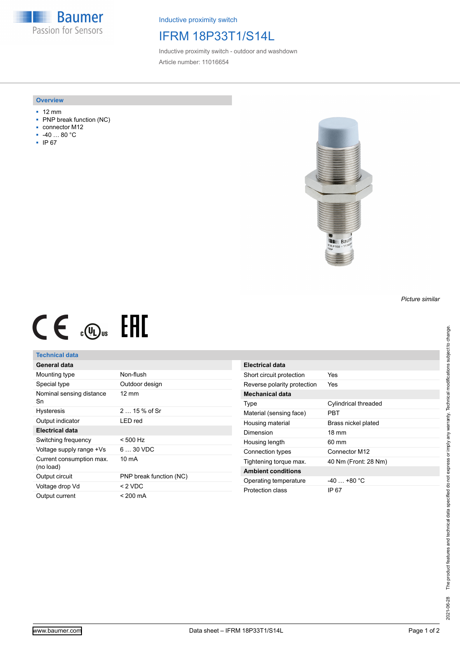**Baumer** Passion for Sensors

Inductive proximity switch

## IFRM 18P33T1/S14L

Inductive proximity switch - outdoor and washdown Article number: 11016654

#### **Overview**

- 12 mm
- PNP break function (NC)
- connector M12
- -40 … 80 °C
- IP 67



# $CE \oplus E$

#### **Technical data**

### **General data**

| Mounting type                         | Non-flush               |
|---------------------------------------|-------------------------|
| Special type                          | Outdoor design          |
| Nominal sensing distance<br>Sn        | $12 \text{ mm}$         |
| <b>Hysteresis</b>                     | $215%$ of Sr            |
| Output indicator                      | I FD red                |
| Electrical data                       |                         |
| Switching frequency                   | $< 500$ Hz              |
| Voltage supply range +Vs              | $630$ VDC               |
| Current consumption max.<br>(no load) | 10 mA                   |
| Output circuit                        | PNP break function (NC) |
| Voltage drop Vd                       | $< 2$ VDC               |
| Output current                        | < 200 mA                |

| Electrical data             |                      |
|-----------------------------|----------------------|
| Short circuit protection    | Yes                  |
| Reverse polarity protection | Yes                  |
| <b>Mechanical data</b>      |                      |
| Type                        | Cylindrical threaded |
| Material (sensing face)     | PBT                  |
| Housing material            | Brass nickel plated  |
| Dimension                   | $18 \text{ mm}$      |
| Housing length              | $60 \text{ mm}$      |
| Connection types            | Connector M12        |
| Tightening torque max.      | 40 Nm (Front: 28 Nm) |
| <b>Ambient conditions</b>   |                      |
| Operating temperature       | $-40+80 °C$          |
| Protection class            | IP 67                |

*Picture similar*